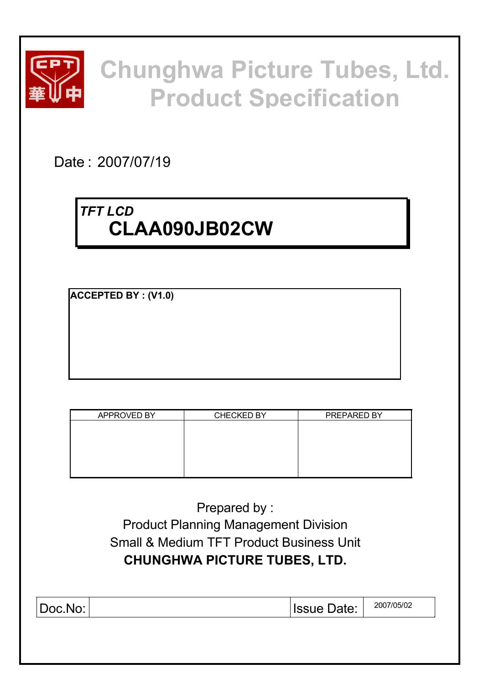

# **Chunghwa Picture Tubes, Ltd. Product Specification**

Date : 2007/07/19

# *TFT LCD* **CLAA090JB02CW**

**ACCEPTED BY : (V1.0)**

| APPROVED BY | <b>CHECKED BY</b> | PREPARED BY |
|-------------|-------------------|-------------|
|             |                   |             |
|             |                   |             |
|             |                   |             |
|             |                   |             |
|             |                   |             |
|             |                   |             |

Prepared by : Product Planning Management Division Small & Medium TFT Product Business Unit **CHUNGHWA PICTURE TUBES, LTD.**

|  | Doc.No: |  | Date:<br><b>Issue</b> | 2007/05/02 |
|--|---------|--|-----------------------|------------|
|--|---------|--|-----------------------|------------|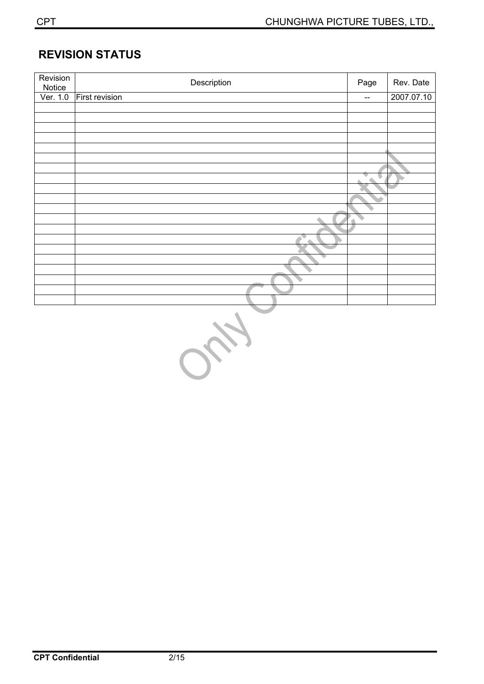### **REVISION STATUS**

| Revision<br>Notice | Description           | Page                     | Rev. Date  |
|--------------------|-----------------------|--------------------------|------------|
| Ver. 1.0           | <b>First revision</b> | $\overline{\phantom{a}}$ | 2007.07.10 |
|                    |                       |                          |            |
|                    |                       |                          |            |
|                    |                       |                          |            |
|                    |                       |                          |            |
|                    |                       |                          |            |
|                    |                       |                          |            |
|                    |                       |                          |            |
|                    |                       | ▼                        |            |
|                    |                       |                          |            |
|                    |                       |                          |            |
|                    |                       |                          |            |
|                    |                       |                          |            |
|                    |                       |                          |            |
|                    |                       |                          |            |
|                    |                       |                          |            |
|                    |                       |                          |            |
|                    |                       |                          |            |
|                    |                       |                          |            |
|                    |                       |                          |            |
|                    |                       |                          |            |
|                    | <b>ALC</b>            |                          |            |

640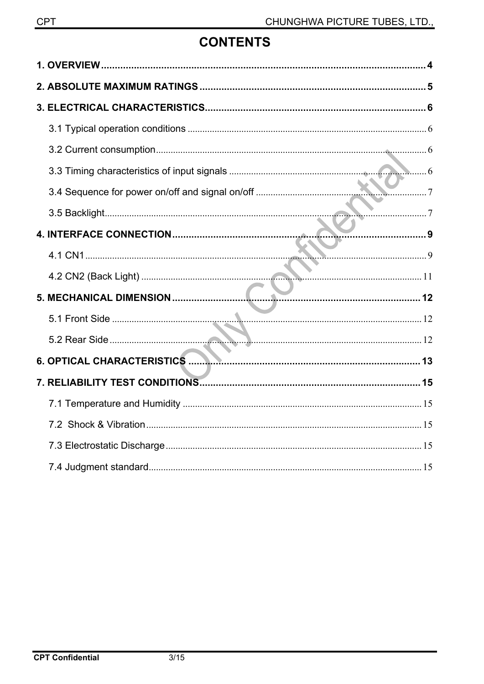# **CONTENTS**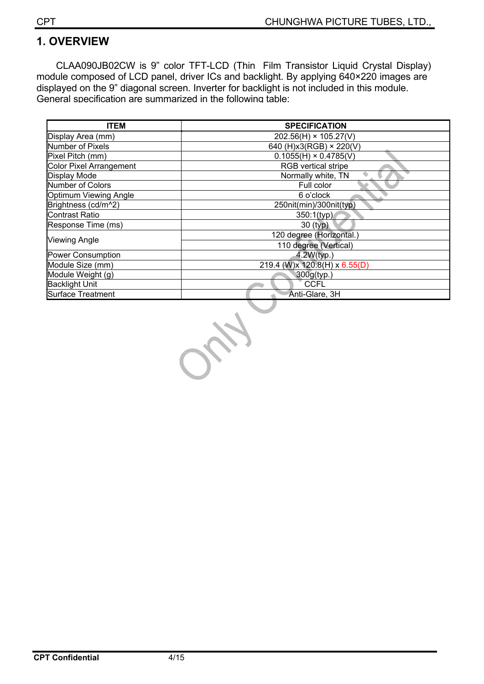# **1. OVERVIEW**

CLAA090JB02CW is 9" color TFT-LCD (Thin Film Transistor Liquid Crystal Display) module composed of LCD panel, driver ICs and backlight. By applying 640×220 images are displayed on the 9" diagonal screen. Inverter for backlight is not included in this module. General specification are summarized in the following table:

| <b>ITEM</b>                    | <b>SPECIFICATION</b>          |  |  |  |  |
|--------------------------------|-------------------------------|--|--|--|--|
| Display Area (mm)              | $202.56(H) \times 105.27(V)$  |  |  |  |  |
| Number of Pixels               | 640 (H)x3(RGB) × 220(V)       |  |  |  |  |
| Pixel Pitch (mm)               | $0.1055(H) \times 0.4785(V)$  |  |  |  |  |
| <b>Color Pixel Arrangement</b> | RGB vertical stripe           |  |  |  |  |
| <b>Display Mode</b>            | Normally white, TN            |  |  |  |  |
| Number of Colors               | Full color                    |  |  |  |  |
| Optimum Viewing Angle          | 6 o'clock                     |  |  |  |  |
| Brightness (cd/m^2)            | 250nit(min)/300nit(typ)       |  |  |  |  |
| <b>Contrast Ratio</b>          | 350:1(typ)                    |  |  |  |  |
| Response Time (ms)             | $30$ (typ)                    |  |  |  |  |
| <b>Viewing Angle</b>           | 120 degree (Horizontal.)      |  |  |  |  |
|                                | 110 degree (Vertical)         |  |  |  |  |
| Power Consumption              | 4.2W(typ.)                    |  |  |  |  |
| Module Size (mm)               | 219.4 (W)x 120.8(H) x 6.55(D) |  |  |  |  |
| Module Weight (g)              | 300g(typ.)                    |  |  |  |  |
| <b>Backlight Unit</b>          | <b>CCFL</b>                   |  |  |  |  |
| Surface Treatment              | Anti-Glare, 3H                |  |  |  |  |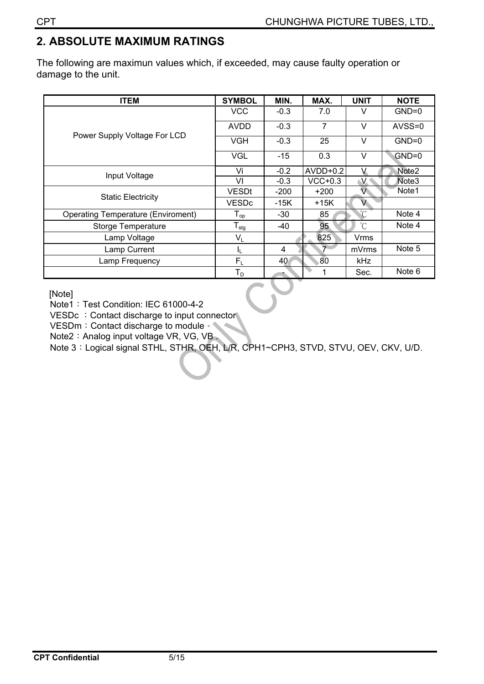# **2. ABSOLUTE MAXIMUM RATINGS**

The following are maximun values which, if exceeded, may cause faulty operation or damage to the unit.

| <b>ITEM</b>                               | <b>SYMBOL</b>              | MIN.   | MAX.           | <b>UNIT</b>          | <b>NOTE</b>       |
|-------------------------------------------|----------------------------|--------|----------------|----------------------|-------------------|
|                                           | <b>VCC</b>                 | $-0.3$ | 7.0            | v                    | $GND=0$           |
| Power Supply Voltage For LCD              | <b>AVDD</b>                | $-0.3$ | $\overline{7}$ | v                    | AVSS=0            |
|                                           | <b>VGH</b>                 | $-0.3$ | 25             | v                    | $GND=0$           |
|                                           | <b>VGL</b>                 | $-15$  | 0.3            | $\vee$               | $GND=0$           |
| Input Voltage                             | Vi                         | $-0.2$ | $AVDD+0.2$     |                      | Note <sub>2</sub> |
|                                           | VI                         | $-0.3$ | $VCC+0.3$      | V.                   | Note <sub>3</sub> |
| <b>Static Electricity</b>                 | <b>VESDt</b>               | $-200$ | $+200$         | V.                   | Note1             |
|                                           | <b>VESDc</b>               | -15K   | +15K           | V                    |                   |
| <b>Operating Temperature (Enviroment)</b> | $\Gamma_{\text{op}}$       | -30    | 85             | $^{\circ}$ C         | Note 4            |
| <b>Storge Temperature</b>                 | ${\mathsf T}_{\text{stg}}$ | -40    | 95             | $\mathrm{C}^{\circ}$ | Note 4            |
| Lamp Voltage                              | $V_L$                      |        | 825            | Vrms                 |                   |
| Lamp Current                              | IL.                        | 4      | $\overline{z}$ | mVrms                | Note 5            |
| Lamp Frequency                            | $F_1$                      | 40     | 80             | kHz                  |                   |
|                                           | ${\sf T}_{\sf D}$          |        | 1              | Sec.                 | Note 6            |

[Note]

Note1: Test Condition: IEC 61000-4-2

VESDc : Contact discharge to input connector

VESDm: Contact discharge to module ∘

Note2: Analog input voltage VR, VG, VB.

Note 3: Logical signal STHL, STHR, OEH, L/R, CPH1~CPH3, STVD, STVU, OEV, CKV, U/D.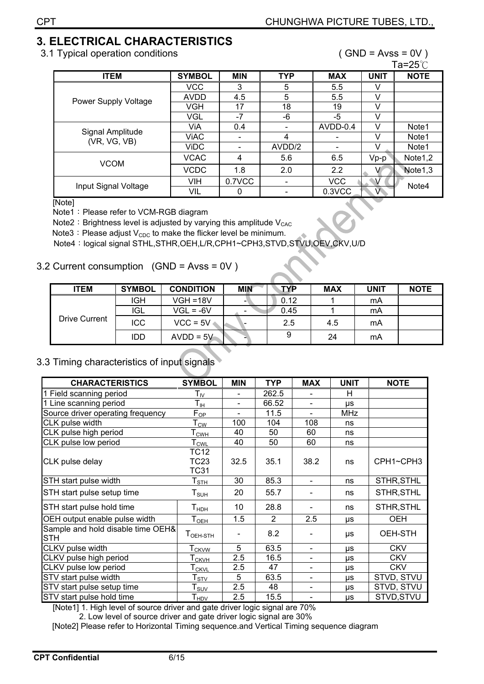# **3. ELECTRICAL CHARACTERISTICS**

3.1 Typical operation conditions ( GND = Avss = 0V )

 $\mathsf{T}_\mathsf{2}=\mathsf{25}\overset{\circ}{\cap}$ 

|                                  |               |            |                          |            |             | ، ∪ ت∠−µ ا          |
|----------------------------------|---------------|------------|--------------------------|------------|-------------|---------------------|
| <b>ITEM</b>                      | <b>SYMBOL</b> | <b>MIN</b> | <b>TYP</b>               | <b>MAX</b> | <b>UNIT</b> | <b>NOTE</b>         |
| Power Supply Voltage             | <b>VCC</b>    | 3          | 5                        | 5.5        | V           |                     |
|                                  | <b>AVDD</b>   | 4.5        | 5                        | 5.5        | V           |                     |
|                                  | VGH           | 17         | 18                       | 19         | V           |                     |
|                                  | VGL           | $-7$       | -6                       | -5         | V           |                     |
|                                  | ViA           | 0.4        | $\overline{\phantom{a}}$ | AVDD-0.4   | V           | Note1               |
| Signal Amplitude<br>(VR, VG, VB) | ViAC          |            | 4                        |            | v           | Note1               |
|                                  | <b>ViDC</b>   |            | AVDD/2                   |            | v           | Note <sub>1</sub>   |
| <b>VCOM</b>                      | <b>VCAC</b>   | 4          | 5.6                      | 6.5        | $Vp-p$      | Note <sub>1,2</sub> |
|                                  | <b>VCDC</b>   | 1.8        | 2.0                      | 2.2        |             | Note1,3             |
| Input Signal Voltage             | VIH           | 0.7VCC     | $\overline{\phantom{a}}$ | <b>VCC</b> |             | Note4               |
|                                  | VIL           |            |                          | 0.3VCC     | $\sqrt{ }$  |                     |

[Note]

Note1: Please refer to VCM-RGB diagram

Note2: Brightness level is adjusted by varying this amplitude  $V_{CAC}$ 

Note3: Please adjust  $V_{CDC}$  to make the flicker level be minimum.

Note4: logical signal STHL,STHR,OEH,L/R,CPH1~CPH3,STVD,STVU,OEV,CKV,U/D

#### 3.2 Current consumption (GND = Avss = 0V )

| <b>ITEM</b>   | <b>SYMBOL</b> | <b>CONDITION</b> | <b>MIN</b> | <b>TYP</b> | <b>MAX</b> | <b>UNIT</b> | <b>NOTE</b> |
|---------------|---------------|------------------|------------|------------|------------|-------------|-------------|
|               | IGH           | $VGH = 18V$      |            | 0.12       |            | mA          |             |
|               | <b>IGL</b>    | $VGL = -6V$      |            | 0.45       |            | mA          |             |
| Drive Current | ICC           | $VCC = 5V$       |            | 2.5        | 4.5        | mA          |             |
|               | <b>IDD</b>    | $AVDD = 5V$      |            |            | 24         | mA          |             |

### 3.3 Timing characteristics of input signals

| <b>CHARACTERISTICS</b>                          | <b>SYMBOL</b>                          | <b>MIN</b>     | <b>TYP</b>     | <b>MAX</b>                   | <b>UNIT</b> | <b>NOTE</b> |
|-------------------------------------------------|----------------------------------------|----------------|----------------|------------------------------|-------------|-------------|
| 1 Field scanning period                         | ${\sf T}_{\sf IV}$                     | $\blacksquare$ | 262.5          | $\overline{\phantom{0}}$     | н           |             |
| 1 Line scanning period                          | $\mathsf{T}_{\mathsf{IH}}$             |                | 66.52          |                              | μs          |             |
| Source driver operating frequency               | $F_{\text{OP}}$                        |                | 11.5           |                              | <b>MHz</b>  |             |
| CLK pulse width                                 | $\mathsf{T}_{\mathsf{\underline{CW}}}$ | 100            | 104            | 108                          | ns          |             |
| CLK pulse high period                           | Т <sub>сwн</sub>                       | 40             | 50             | 60                           | ns          |             |
| CLK pulse low period                            | $T_{\underline{\text{CWL}}}$           | 40             | 50             | 60                           | ns          |             |
| CLK pulse delay                                 | TC12<br>TC23<br><b>TC31</b>            | 32.5           | 35.1           | 38.2                         | ns          | CPH1~CPH3   |
| STH start pulse width                           | ${\sf T}_{\underline{{\sf STH}}}$      | 30             | 85.3           | $\blacksquare$               | ns          | STHR, STHL  |
| STH start pulse setup time                      | $T_{\scriptstyle\text{SUH}}$           | 20             | 55.7           |                              | ns          | STHR, STHL  |
| STH start pulse hold time                       | $T_{HDH}$                              | 10             | 28.8           |                              | ns          | STHR, STHL  |
| OEH output enable pulse width                   | $T_{OH}$                               | 1.5            | $\overline{2}$ | 2.5                          | μs          | OEH         |
| Sample and hold disable time OEH&<br><b>STH</b> | $T_{\text{OEH-STH}}$                   |                | 8.2            |                              | μs          | OEH-STH     |
| CLKV pulse width                                | T <sub>CKVW</sub>                      | 5              | 63.5           | $\blacksquare$               | μs          | <b>CKV</b>  |
| CLKV pulse high period                          | $T_{\text{CKVH}}$                      | 2.5            | 16.5           |                              | μs          | <b>CKV</b>  |
| CLKV pulse low period                           | $T_{CKVL}$                             | 2.5            | 47             |                              | μs          | <b>CKV</b>  |
| STV start pulse width                           | ${\sf T}_{\sf STV}$                    | 5              | 63.5           |                              | μs          | STVD, STVU  |
| STV start pulse setup time                      | ${\sf T}_{\sf SUV}$                    | 2.5            | 48             | $\qquad \qquad \blacksquare$ | μs          | STVD, STVU  |
| STV start pulse hold time                       | $\mathsf{T}_{\text{HDV}}$              | 2.5            | 15.5           | $\overline{\phantom{a}}$     | μs          | STVD, STVU  |

[Note1] 1. High level of source driver and gate driver logic signal are 70%

2. Low level of source driver and gate driver logic signal are 30%

[Note2] Please refer to Horizontal Timing sequence.and Vertical Timing sequence diagram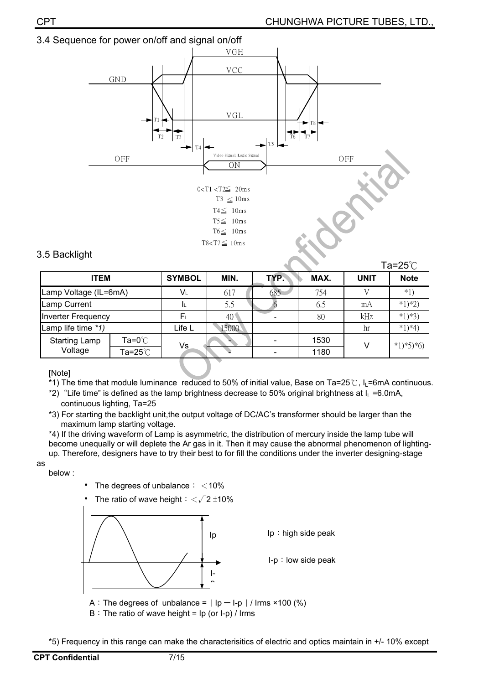



#### 3.5 Backlight

|                       |                           |               |              |      |      |             | Ta=25 $°C$  |
|-----------------------|---------------------------|---------------|--------------|------|------|-------------|-------------|
| <b>ITEM</b>           |                           | <b>SYMBOL</b> | MIN.         | TYP. | MAX. | <b>UNIT</b> | <b>Note</b> |
| Lamp Voltage (IL=6mA) |                           | Vι            | 617          | 685  | 754  |             | $*1$        |
| Lamp Current          |                           |               | 5.5          |      | 6.5  | mA          | $*1)*2)$    |
| Inverter Frequency    |                           | $F_L$         | $40^{\circ}$ |      | 80   | kHz         | $*1)*3)$    |
| Lamp life time *1)    |                           | Life L        | 15000        |      |      | hr          | $*1)*4)$    |
| <b>Starting Lamp</b>  | Ta=0 $^{\circ}\textrm{C}$ | Vs            |              |      | 1530 | v           | $*1)*5*6$   |
| Voltage               | Ta=25 $°C$                |               |              |      | 1180 |             |             |

[Note]

\*1) The time that module luminance reduced to 50% of initial value, Base on Ta=25°C,  $I_L$ =6mA continuous.

\*2) "Life time" is defined as the lamp brightness decrease to 50% original brightness at  $I<sub>L</sub> = 6.0$ mA, continuous lighting, Ta=25

\*3) For starting the backlight unit,the output voltage of DC/AC's transformer should be larger than the maximum lamp starting voltage.

\*4) If the driving waveform of Lamp is asymmetric, the distribution of mercury inside the lamp tube will become unequally or will deplete the Ar gas in it. Then it may cause the abnormal phenomenon of lightingup. Therefore, designers have to try their best to for fill the conditions under the inverter designing-stage

as

below :



The ratio of wave height  $\frac{1}{2}$   $\frac{1}{2}$  ±10%



 $B:$  The ratio of wave height = Ip (or I-p) / Irms

\*5) Frequency in this range can make the characterisitics of electric and optics maintain in +/- 10% except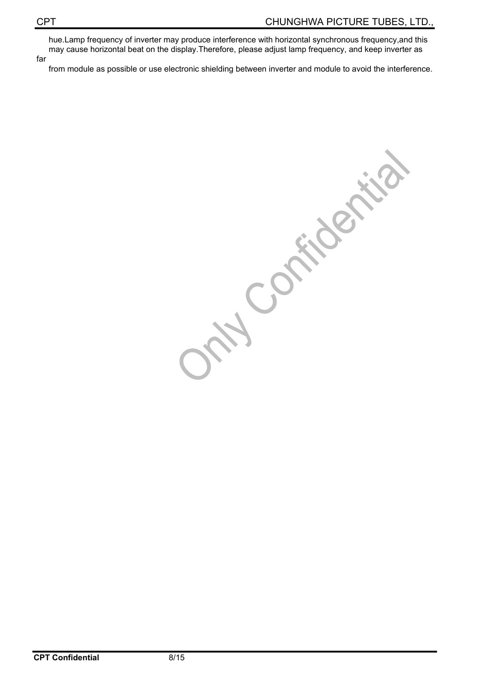hue.Lamp frequency of inverter may produce interference with horizontal synchronous frequency,and this may cause horizontal beat on the display.Therefore, please adjust lamp frequency, and keep inverter as far

from module as possible or use electronic shielding between inverter and module to avoid the interference.

Compter tig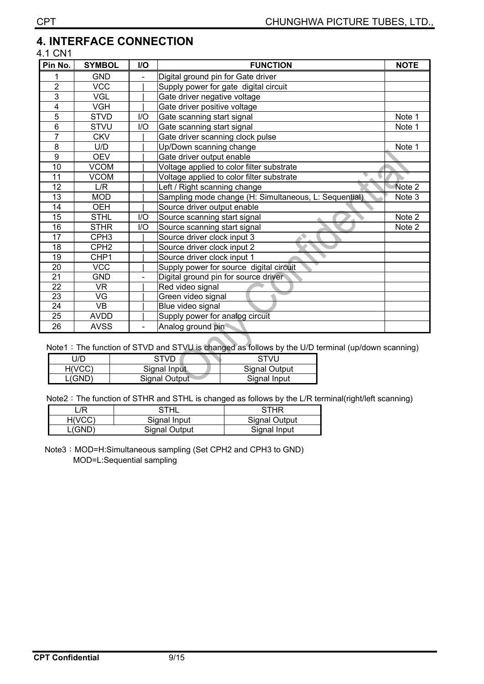### **4. INTERFACE CONNECTION**

#### 4.1 CN1

| Pin No.         | <b>SYMBOL</b>            | I/O | <b>FUNCTION</b>                                       | <b>NOTE</b> |
|-----------------|--------------------------|-----|-------------------------------------------------------|-------------|
| 1               | <b>GND</b>               |     | Digital ground pin for Gate driver                    |             |
| $\overline{2}$  | <b>VCC</b>               |     | Supply power for gate digital circuit                 |             |
| $\overline{3}$  | <b>VGL</b>               |     | Gate driver negative voltage                          |             |
| 4               | <b>VGH</b>               |     | Gate driver positive voltage                          |             |
| $\overline{5}$  | <b>STVD</b>              | I/O | Gate scanning start signal                            | Note 1      |
| 6               | <b>STVU</b>              | 1/O | Gate scanning start signal                            | Note 1      |
| 7               | <b>CKV</b>               |     | Gate driver scanning clock pulse                      |             |
| 8               | U/D                      |     | Up/Down scanning change                               | Note 1      |
| 9               | <b>OEV</b>               |     | Gate driver output enable                             |             |
| 10              | <b>VCOM</b>              |     | Voltage applied to color filter substrate             |             |
| 11              | <b>VCOM</b>              |     | Voltage applied to color filter substrate             |             |
| 12              | L/R                      |     | Left / Right scanning change                          | Note 2      |
| 13              | <b>MOD</b>               |     | Sampling mode change (H: Simultaneous, L: Sequential) | Note 3      |
| 14              | <b>OEH</b>               |     | Source driver output enable                           |             |
| 15              | <b>STHL</b>              | I/O | Source scanning start signal                          | Note 2      |
| 16              | <b>STHR</b>              | I/O | Source scanning start signal                          | Note 2      |
| 17              | CPH <sub>3</sub>         |     | Source driver clock input 3                           |             |
| 18              | CPH <sub>2</sub>         |     | Source driver clock input 2                           |             |
| 19              | CHP1                     |     | Source driver clock input 1                           |             |
| 20              | <b>VCC</b>               |     | Supply power for source digital circuit               |             |
| $\overline{21}$ | <b>GND</b>               |     | Digital ground pin for source driver                  |             |
| 22              | VR.                      |     | Red video signal                                      |             |
| 23              | VG                       |     | Green video signal                                    |             |
| $\overline{24}$ | $\overline{\mathsf{VB}}$ |     | Blue video signal                                     |             |
| 25              | <b>AVDD</b>              |     | Supply power for analog circuit                       |             |
| 26              | <b>AVSS</b>              |     | Analog ground pin                                     |             |

Note1: The function of STVD and STVU is changed as follows by the U/D terminal (up/down scanning)

| J/D    | STVD                 | STVU          |
|--------|----------------------|---------------|
| H(VCC) | Signal Input         | Signal Output |
| (GND)  | <b>Signal Output</b> | Signal Input  |

Note2: The function of STHR and STHL is changed as follows by the L/R terminal(right/left scanning)

| /R     | STHL                 | STHR          |
|--------|----------------------|---------------|
| H(VCC) | Signal Input         | Signal Output |
| L(GND' | <b>Signal Output</b> | Signal Input  |

Note3: MOD=H:Simultaneous sampling (Set CPH2 and CPH3 to GND) MOD=L:Sequential sampling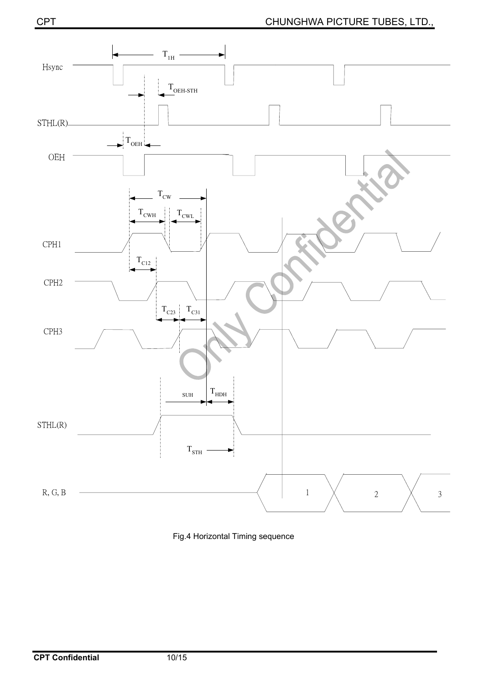![](_page_9_Figure_2.jpeg)

Fig.4 Horizontal Timing sequence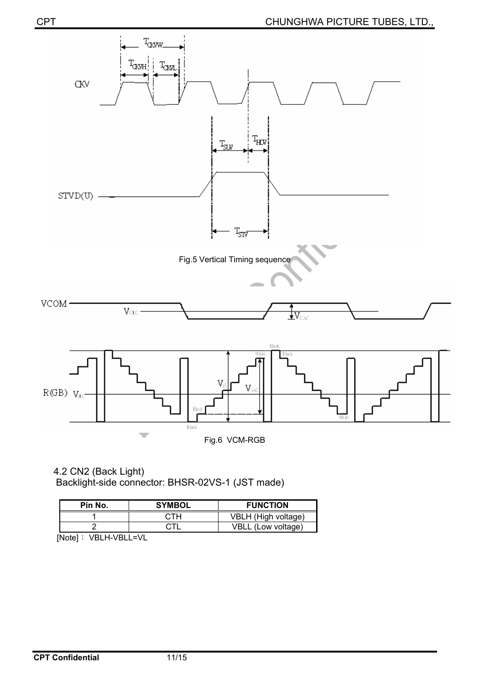![](_page_10_Figure_1.jpeg)

4.2 CN2 (Back Light) Backlight-side connector: BHSR-02VS-1 (JST made)

| Pin No.                   | <b>SYMBOL</b> | <b>FUNCTION</b>     |
|---------------------------|---------------|---------------------|
|                           |               | VBLH (High voltage) |
|                           |               | VBLL (Low voltage)  |
| `Noto]<br>ו/ר ו וס/ ט וס/ |               |                     |

[Note]: VBLH-VBLL=VL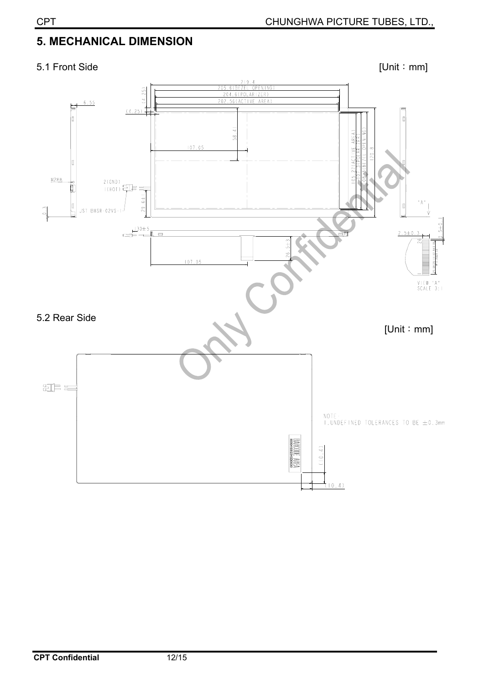# **5. MECHANICAL DIMENSION**

#### 5.1 Front Side [Unit : mm]

![](_page_11_Figure_4.jpeg)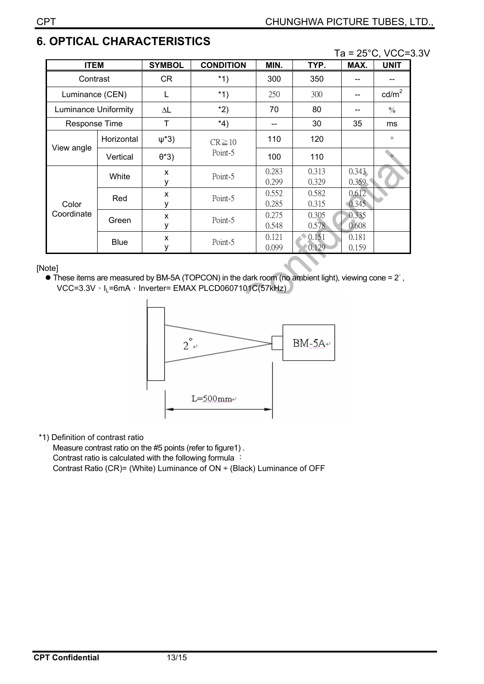# **6. OPTICAL CHARACTERISTICS**

Ta = 25°C, VCC=3.3V

| <b>ITEM</b>                 |             | <b>SYMBOL</b> | <b>CONDITION</b>       | MIN.           | TYP.           | MAX.           | <b>UNIT</b>     |
|-----------------------------|-------------|---------------|------------------------|----------------|----------------|----------------|-----------------|
| Contrast                    |             | CR            | $*1)$                  | 300            | 350            |                |                 |
| Luminance (CEN)             |             | L             | $*1)$                  | 250            | 300            |                | $\text{cd/m}^2$ |
| <b>Luminance Uniformity</b> |             | ΔL            | $*2)$                  | 70             | 80             |                | $\frac{0}{0}$   |
| <b>Response Time</b>        |             | T             | *4)                    | --             | 30             | 35             | ms              |
| View angle                  | Horizontal  | $\psi^*3)$    | $CR \ge 10$<br>Point-5 | 110            | 120            |                | $\circ$         |
|                             | Vertical    | $\theta$ *3)  |                        | 100            | 110            |                |                 |
| Color<br>Coordinate         | White       | x<br>у        | Point-5                | 0.283<br>0.299 | 0.313<br>0.329 | 0.343<br>0.359 |                 |
|                             | Red         | X<br>у        | Point-5                | 0.552<br>0.285 | 0.582<br>0.315 | 0.612<br>0.345 |                 |
|                             | Green       | X<br>۷        | Point-5                | 0.275<br>0.548 | 0.305<br>0.578 | 0.335<br>0.608 |                 |
|                             | <b>Blue</b> | X<br>у        | Point-5                | 0.121<br>0.099 | 0.151<br>0.129 | 0.181<br>0.159 |                 |

[Note]

 $\bullet$  These items are measured by BM-5A (TOPCON) in the dark room (no ambient light), viewing cone = 2 $\degree$ , VCC=3.3V, I<sub>L</sub>=6mA, Inverter= EMAX PLCD0607101C(57kHz)

![](_page_12_Figure_6.jpeg)

#### \*1) Definition of contrast ratio

Measure contrast ratio on the #5 points (refer to figure1) . Contrast ratio is calculated with the following formula : Contrast Ratio (CR)= (White) Luminance of ON ÷ (Black) Luminance of OFF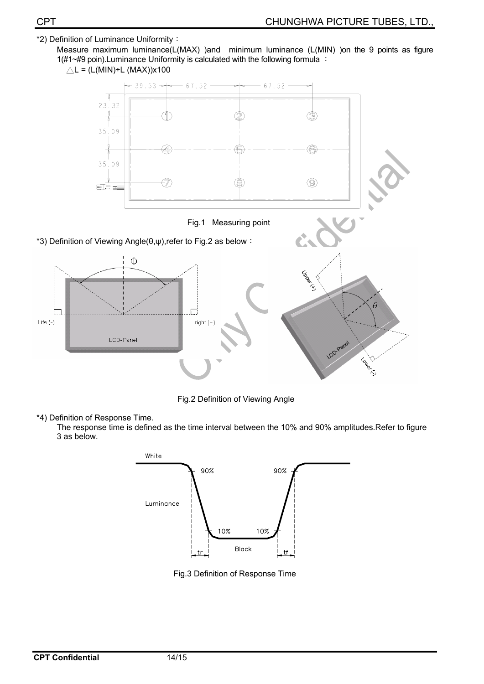#### \*2) Definition of Luminance Uniformity:

![](_page_13_Figure_3.jpeg)

![](_page_13_Figure_4.jpeg)

Fig.2 Definition of Viewing Angle

\*4) Definition of Response Time.

The response time is defined as the time interval between the 10% and 90% amplitudes.Refer to figure 3 as below.

![](_page_13_Figure_8.jpeg)

Fig.3 Definition of Response Time